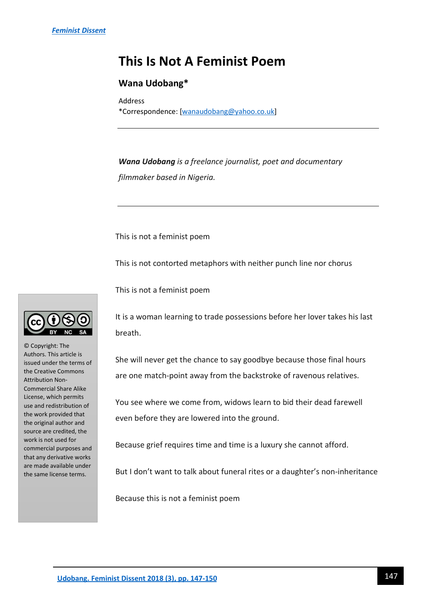## **This Is Not A Feminist Poem**

## **Wana Udobang\***

Address \*Correspondence: [\[wanaudobang@yahoo.co.uk\]](mailto:wanaudobang@yahoo.co.uk)

*Wana Udobang is a freelance journalist, poet and documentary filmmaker based in Nigeria.*

This is not a feminist poem

This is not contorted metaphors with neither punch line nor chorus

This is not a feminist poem

It is a woman learning to trade possessions before her lover takes his last breath.

She will never get the chance to say goodbye because those final hours are one match-point away from the backstroke of ravenous relatives.

You see where we come from, widows learn to bid their dead farewell even before they are lowered into the ground.

Because grief requires time and time is a luxury she cannot afford.

But I don't want to talk about funeral rites or a daughter's non-inheritance

Because this is not a feminist poem



© Copyright: The Authors. This article is issued under the terms of the Creative Commons Attribution Non-Commercial Share Alike License, which permits use and redistribution of the work provided that the original author and source are credited, the work is not used for commercial purposes and that any derivative works are made available under the same license terms.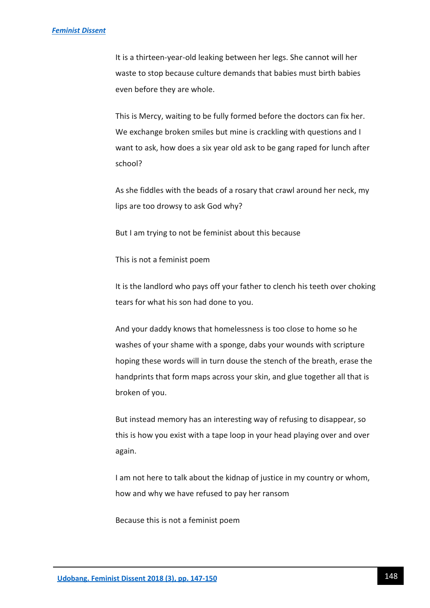It is a thirteen-year-old leaking between her legs. She cannot will her waste to stop because culture demands that babies must birth babies even before they are whole.

This is Mercy, waiting to be fully formed before the doctors can fix her. We exchange broken smiles but mine is crackling with questions and I want to ask, how does a six year old ask to be gang raped for lunch after school?

As she fiddles with the beads of a rosary that crawl around her neck, my lips are too drowsy to ask God why?

But I am trying to not be feminist about this because

This is not a feminist poem

It is the landlord who pays off your father to clench his teeth over choking tears for what his son had done to you.

And your daddy knows that homelessness is too close to home so he washes of your shame with a sponge, dabs your wounds with scripture hoping these words will in turn douse the stench of the breath, erase the handprints that form maps across your skin, and glue together all that is broken of you.

But instead memory has an interesting way of refusing to disappear, so this is how you exist with a tape loop in your head playing over and over again.

I am not here to talk about the kidnap of justice in my country or whom, how and why we have refused to pay her ransom

Because this is not a feminist poem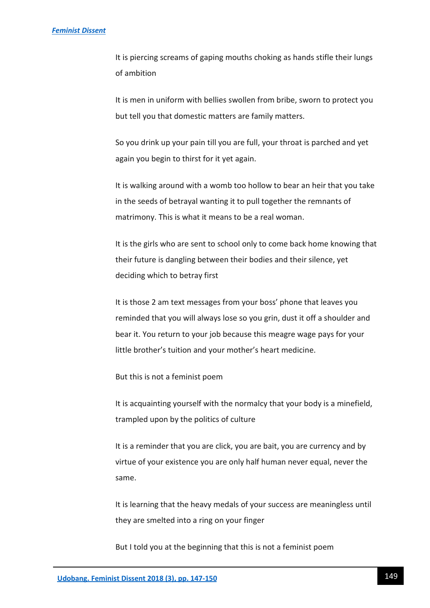It is piercing screams of gaping mouths choking as hands stifle their lungs of ambition

It is men in uniform with bellies swollen from bribe, sworn to protect you but tell you that domestic matters are family matters.

So you drink up your pain till you are full, your throat is parched and yet again you begin to thirst for it yet again.

It is walking around with a womb too hollow to bear an heir that you take in the seeds of betrayal wanting it to pull together the remnants of matrimony. This is what it means to be a real woman.

It is the girls who are sent to school only to come back home knowing that their future is dangling between their bodies and their silence, yet deciding which to betray first

It is those 2 am text messages from your boss' phone that leaves you reminded that you will always lose so you grin, dust it off a shoulder and bear it. You return to your job because this meagre wage pays for your little brother's tuition and your mother's heart medicine.

But this is not a feminist poem

It is acquainting yourself with the normalcy that your body is a minefield, trampled upon by the politics of culture

It is a reminder that you are click, you are bait, you are currency and by virtue of your existence you are only half human never equal, never the same.

It is learning that the heavy medals of your success are meaningless until they are smelted into a ring on your finger

But I told you at the beginning that this is not a feminist poem